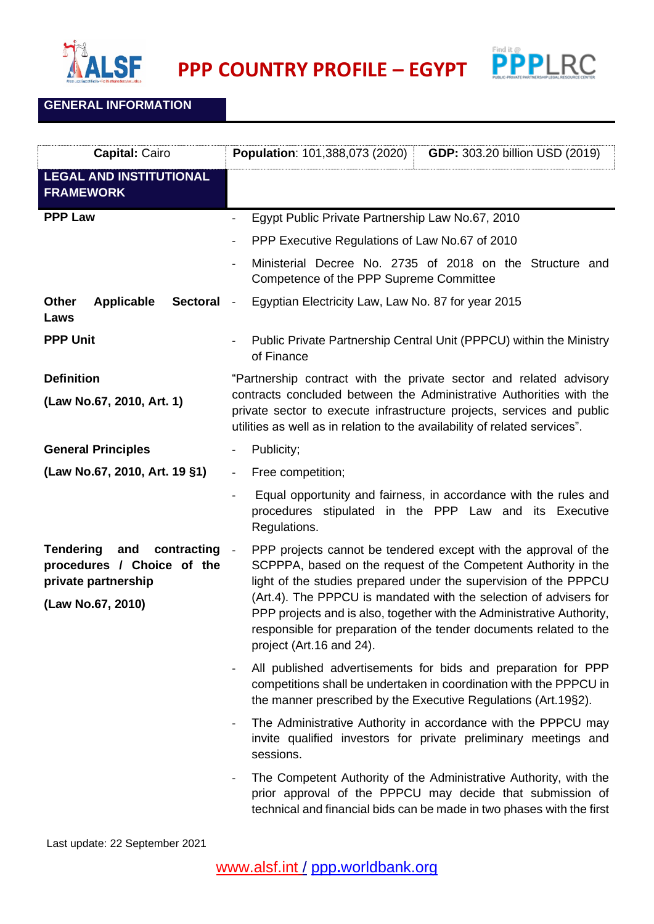

**PPP COUNTRY PROFILE – EGYPT**



## **GENERAL INFORMATION**

| <b>Capital: Cairo</b>                                                                                            | Population: 101,388,073 (2020)<br><b>GDP:</b> 303.20 billion USD (2019)                                                                                                                                                                                                                                                                                                                                                                                             |
|------------------------------------------------------------------------------------------------------------------|---------------------------------------------------------------------------------------------------------------------------------------------------------------------------------------------------------------------------------------------------------------------------------------------------------------------------------------------------------------------------------------------------------------------------------------------------------------------|
| <b>LEGAL AND INSTITUTIONAL</b><br><b>FRAMEWORK</b>                                                               |                                                                                                                                                                                                                                                                                                                                                                                                                                                                     |
| <b>PPP Law</b>                                                                                                   | Egypt Public Private Partnership Law No.67, 2010                                                                                                                                                                                                                                                                                                                                                                                                                    |
|                                                                                                                  | PPP Executive Regulations of Law No.67 of 2010                                                                                                                                                                                                                                                                                                                                                                                                                      |
|                                                                                                                  | Ministerial Decree No. 2735 of 2018 on the Structure and<br>Competence of the PPP Supreme Committee                                                                                                                                                                                                                                                                                                                                                                 |
| <b>Applicable</b><br>Other<br><b>Sectoral</b><br>Laws                                                            | Egyptian Electricity Law, Law No. 87 for year 2015<br>$\sim$ $-$                                                                                                                                                                                                                                                                                                                                                                                                    |
| <b>PPP Unit</b>                                                                                                  | Public Private Partnership Central Unit (PPPCU) within the Ministry<br>of Finance                                                                                                                                                                                                                                                                                                                                                                                   |
| <b>Definition</b><br>(Law No.67, 2010, Art. 1)                                                                   | "Partnership contract with the private sector and related advisory<br>contracts concluded between the Administrative Authorities with the<br>private sector to execute infrastructure projects, services and public<br>utilities as well as in relation to the availability of related services".                                                                                                                                                                   |
| <b>General Principles</b>                                                                                        | Publicity;                                                                                                                                                                                                                                                                                                                                                                                                                                                          |
| (Law No.67, 2010, Art. 19 §1)                                                                                    | Free competition;<br>$\blacksquare$                                                                                                                                                                                                                                                                                                                                                                                                                                 |
|                                                                                                                  | Equal opportunity and fairness, in accordance with the rules and<br>procedures stipulated in the PPP Law and its Executive<br>Regulations.                                                                                                                                                                                                                                                                                                                          |
| <b>Tendering</b><br>contracting<br>and<br>procedures / Choice of the<br>private partnership<br>(Law No.67, 2010) | PPP projects cannot be tendered except with the approval of the<br>$\sim$ $-$<br>SCPPPA, based on the request of the Competent Authority in the<br>light of the studies prepared under the supervision of the PPPCU<br>(Art.4). The PPPCU is mandated with the selection of advisers for<br>PPP projects and is also, together with the Administrative Authority,<br>responsible for preparation of the tender documents related to the<br>project (Art.16 and 24). |
|                                                                                                                  | All published advertisements for bids and preparation for PPP<br>competitions shall be undertaken in coordination with the PPPCU in<br>the manner prescribed by the Executive Regulations (Art.19§2).                                                                                                                                                                                                                                                               |
|                                                                                                                  | The Administrative Authority in accordance with the PPPCU may<br>invite qualified investors for private preliminary meetings and<br>sessions.                                                                                                                                                                                                                                                                                                                       |
|                                                                                                                  | The Competent Authority of the Administrative Authority, with the<br>prior approval of the PPPCU may decide that submission of<br>technical and financial bids can be made in two phases with the first                                                                                                                                                                                                                                                             |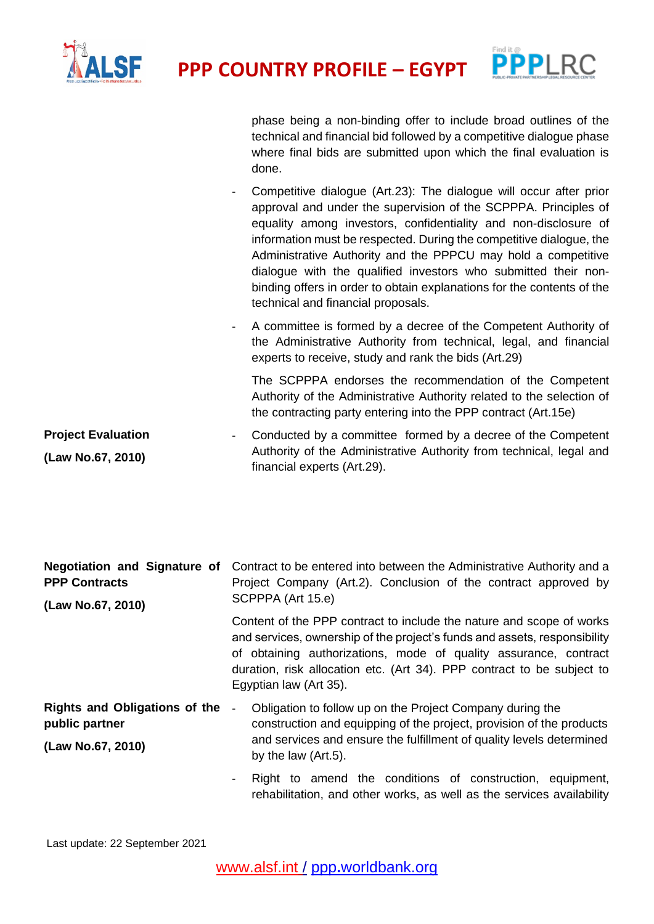



phase being a non-binding offer to include broad outlines of the technical and financial bid followed by a competitive dialogue phase where final bids are submitted upon which the final evaluation is done.

- Competitive dialogue (Art.23): The dialogue will occur after prior approval and under the supervision of the SCPPPA. Principles of equality among investors, confidentiality and non-disclosure of information must be respected. During the competitive dialogue, the Administrative Authority and the PPPCU may hold a competitive dialogue with the qualified investors who submitted their nonbinding offers in order to obtain explanations for the contents of the technical and financial proposals.
- A committee is formed by a decree of the Competent Authority of the Administrative Authority from technical, legal, and financial experts to receive, study and rank the bids (Art.29)

The SCPPPA endorses the recommendation of the Competent Authority of the Administrative Authority related to the selection of the contracting party entering into the PPP contract (Art.15e)

rehabilitation, and other works, as well as the services availability

**Project Evaluation (Law No.67, 2010)** Conducted by a committee formed by a decree of the Competent Authority of the Administrative Authority from technical, legal and financial experts (Art.29).

| <b>Negotiation and Signature of</b><br><b>PPP Contracts</b><br>(Law No.67, 2010) | Contract to be entered into between the Administrative Authority and a<br>Project Company (Art.2). Conclusion of the contract approved by<br>SCPPPA (Art 15.e)                                                                                                                                                            |
|----------------------------------------------------------------------------------|---------------------------------------------------------------------------------------------------------------------------------------------------------------------------------------------------------------------------------------------------------------------------------------------------------------------------|
|                                                                                  | Content of the PPP contract to include the nature and scope of works<br>and services, ownership of the project's funds and assets, responsibility<br>of obtaining authorizations, mode of quality assurance, contract<br>duration, risk allocation etc. (Art 34). PPP contract to be subject to<br>Egyptian law (Art 35). |
| <b>Rights and Obligations of the</b><br>public partner<br>(Law No.67, 2010)      | Obligation to follow up on the Project Company during the<br>$\qquad \qquad -$<br>construction and equipping of the project, provision of the products<br>and services and ensure the fulfillment of quality levels determined<br>by the law (Art.5).                                                                     |
|                                                                                  | Right to amend the conditions of construction, equipment,                                                                                                                                                                                                                                                                 |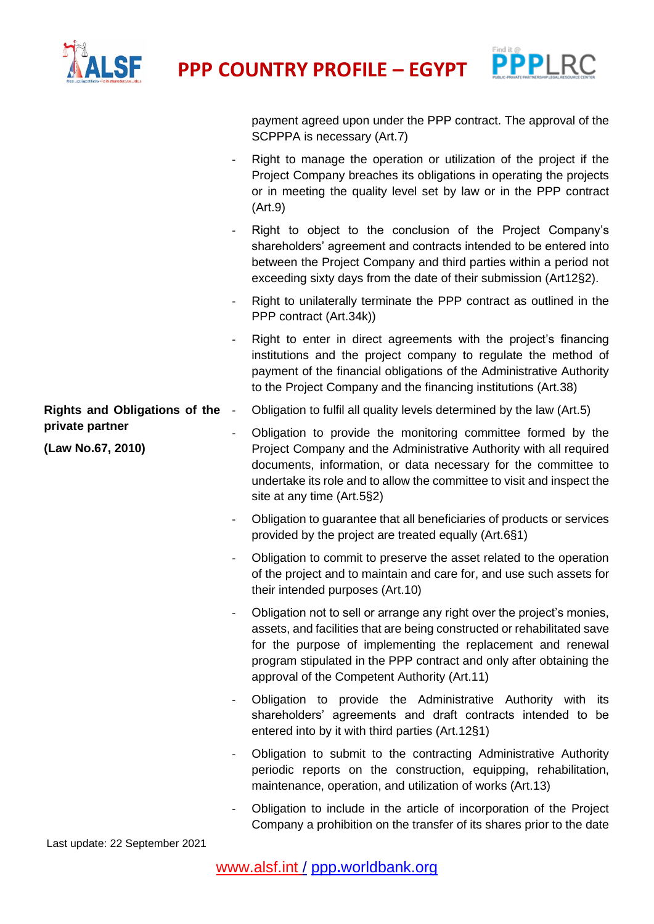

**PROFILE** – **EGYPT** PPP **PPP COUNTRY PROFILE** – **EGYPT** PPPLRC



|                                      |                          | payment agreed upon under the PPP contract. The approval of the<br>SCPPPA is necessary (Art.7)                                                                                                                                                                                                                                          |
|--------------------------------------|--------------------------|-----------------------------------------------------------------------------------------------------------------------------------------------------------------------------------------------------------------------------------------------------------------------------------------------------------------------------------------|
|                                      |                          | Right to manage the operation or utilization of the project if the<br>Project Company breaches its obligations in operating the projects<br>or in meeting the quality level set by law or in the PPP contract<br>(Art.9)                                                                                                                |
|                                      | $\overline{\phantom{a}}$ | Right to object to the conclusion of the Project Company's<br>shareholders' agreement and contracts intended to be entered into<br>between the Project Company and third parties within a period not<br>exceeding sixty days from the date of their submission (Art12§2).                                                               |
|                                      |                          | Right to unilaterally terminate the PPP contract as outlined in the<br>PPP contract (Art.34k))                                                                                                                                                                                                                                          |
|                                      |                          | Right to enter in direct agreements with the project's financing<br>institutions and the project company to regulate the method of<br>payment of the financial obligations of the Administrative Authority<br>to the Project Company and the financing institutions (Art.38)                                                            |
| <b>Rights and Obligations of the</b> | $\overline{\phantom{a}}$ | Obligation to fulfil all quality levels determined by the law (Art.5)                                                                                                                                                                                                                                                                   |
| private partner<br>(Law No.67, 2010) | $\overline{\phantom{0}}$ | Obligation to provide the monitoring committee formed by the<br>Project Company and the Administrative Authority with all required<br>documents, information, or data necessary for the committee to<br>undertake its role and to allow the committee to visit and inspect the<br>site at any time (Art.5§2)                            |
|                                      | $\overline{\phantom{a}}$ | Obligation to guarantee that all beneficiaries of products or services<br>provided by the project are treated equally (Art.6§1)                                                                                                                                                                                                         |
|                                      | $\overline{\phantom{a}}$ | Obligation to commit to preserve the asset related to the operation<br>of the project and to maintain and care for, and use such assets for<br>their intended purposes (Art.10)                                                                                                                                                         |
|                                      |                          | Obligation not to sell or arrange any right over the project's monies,<br>assets, and facilities that are being constructed or rehabilitated save<br>for the purpose of implementing the replacement and renewal<br>program stipulated in the PPP contract and only after obtaining the<br>approval of the Competent Authority (Art.11) |
|                                      | $\overline{\phantom{a}}$ | Obligation to provide the Administrative Authority with its<br>shareholders' agreements and draft contracts intended to be<br>entered into by it with third parties (Art.12§1)                                                                                                                                                          |
|                                      | $\overline{\phantom{a}}$ | Obligation to submit to the contracting Administrative Authority<br>periodic reports on the construction, equipping, rehabilitation,<br>maintenance, operation, and utilization of works (Art.13)                                                                                                                                       |
|                                      | $\overline{\phantom{a}}$ | Obligation to include in the article of incorporation of the Project<br>Company a prohibition on the transfer of its shares prior to the date                                                                                                                                                                                           |

Last update: 22 September 2021

[www.alsf.int](http://www.alsf.int/) / ppp**.**[worldbank.org](https://ppp.worldbank.org/public-private-partnership/)